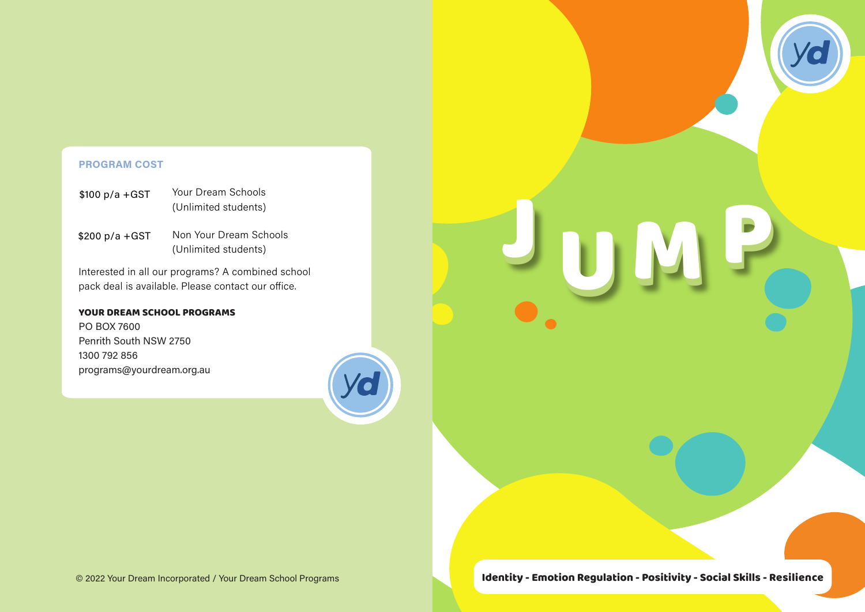### **PROGRAM COST**

| $$100 p/a + GST$ | Your Dream Schools   |
|------------------|----------------------|
|                  | (Unlimited students) |

Non Your Dream Schools (Unlimited students) \$200 p/a +GST

Interested in all our programs? A combined school pack deal is available. Please contact our office.

### YOUR DREAM SCHOOL PROGRAMS

PO BOX 7600 Penrith South NSW 2750 1300 792 856 programs@yourdream.org.au



JUMP